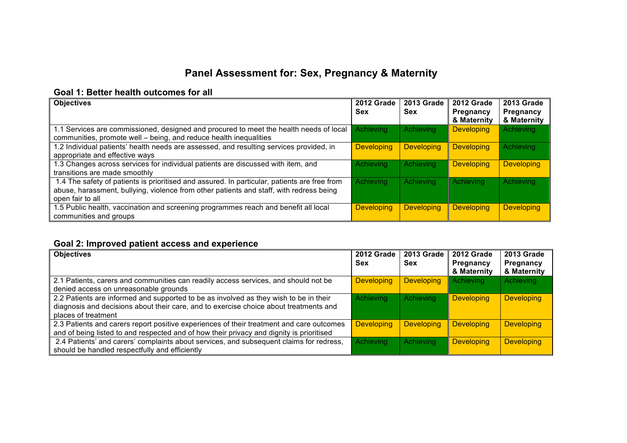# **Panel Assessment for: Sex, Pregnancy & Maternity**

### **Goal 1: Better health outcomes for all**

| <b>Objectives</b>                                                                                                                                                                                           | 2012 Grade<br><b>Sex</b> | 2013 Grade<br><b>Sex</b> | 2012 Grade<br><b>Pregnancy</b><br>& Maternity | 2013 Grade<br>Pregnancy<br>& Maternity |
|-------------------------------------------------------------------------------------------------------------------------------------------------------------------------------------------------------------|--------------------------|--------------------------|-----------------------------------------------|----------------------------------------|
| 1.1 Services are commissioned, designed and procured to meet the health needs of local<br>communities, promote well - being, and reduce health inequalities                                                 | <b>Achieving</b>         | <b>Achieving</b>         | <b>Developing</b>                             | <b>Achieving</b>                       |
| 1.2 Individual patients' health needs are assessed, and resulting services provided, in<br>appropriate and effective ways                                                                                   | <b>Developing</b>        | <b>Developing</b>        | <b>Developing</b>                             | <b>Achieving</b>                       |
| 1.3 Changes across services for individual patients are discussed with item, and<br>transitions are made smoothly                                                                                           | Achieving                | Achieving                | <b>Developing</b>                             | <b>Developing</b>                      |
| 1.4 The safety of patients is prioritised and assured. In particular, patients are free from<br>abuse, harassment, bullying, violence from other patients and staff, with redress being<br>open fair to all | Achieving                | Achieving                | Achieving                                     | <b>Achieving</b>                       |
| 1.5 Public health, vaccination and screening programmes reach and benefit all local<br>communities and groups                                                                                               | <b>Developing</b>        | <b>Developing</b>        | <b>Developing</b>                             | <b>Developing</b>                      |

## **Goal 2: Improved patient access and experience**

| <b>Objectives</b>                                                                                                                                                                                     | 2012 Grade<br>Sex | <b>2013 Grade</b><br>Sex | 2012 Grade<br>Pregnancy<br>& Maternity | <b>2013 Grade</b><br>Pregnancy<br>& Maternity |
|-------------------------------------------------------------------------------------------------------------------------------------------------------------------------------------------------------|-------------------|--------------------------|----------------------------------------|-----------------------------------------------|
| 2.1 Patients, carers and communities can readily access services, and should not be<br>denied access on unreasonable grounds                                                                          | <b>Developing</b> | <b>Developing</b>        | Achieving                              | Achieving                                     |
| 2.2 Patients are informed and supported to be as involved as they wish to be in their<br>diagnosis and decisions about their care, and to exercise choice about treatments and<br>places of treatment | Achieving         | <b>Achieving</b>         | <b>Developing</b>                      | <b>Developing</b>                             |
| 2.3 Patients and carers report positive experiences of their treatment and care outcomes<br>and of being listed to and respected and of how their privacy and dignity is prioritised                  | <b>Developing</b> | <b>Developing</b>        | <b>Developing</b>                      | <b>Developing</b>                             |
| 2.4 Patients' and carers' complaints about services, and subsequent claims for redress,<br>should be handled respectfully and efficiently                                                             | Achieving         | Achieving                | <b>Developing</b>                      | <b>Developing</b>                             |